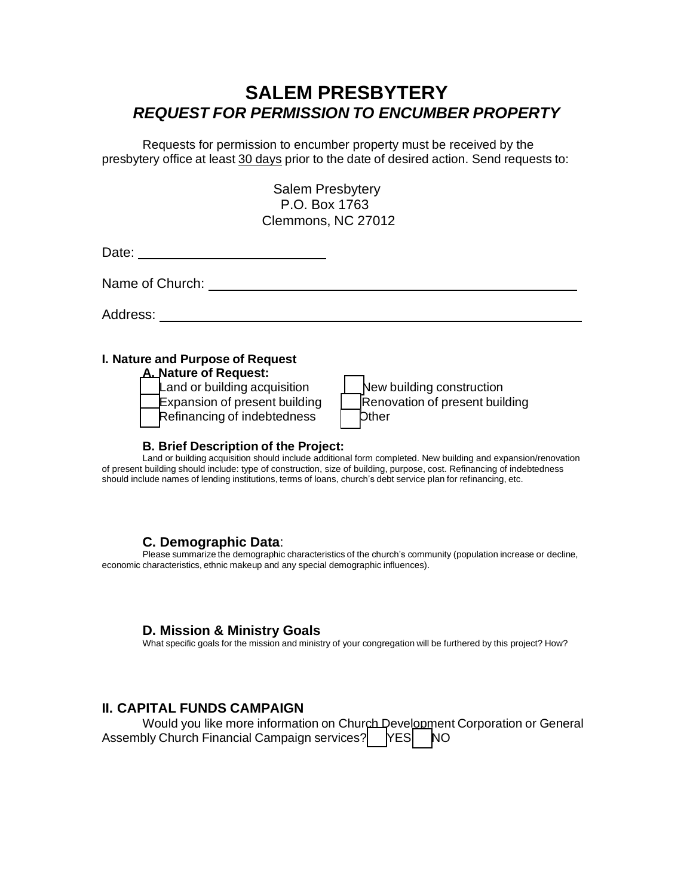# **SALEM PRESBYTERY** *REQUEST FOR PERMISSION TO ENCUMBER PROPERTY*

Requests for permission to encumber property must be received by the presbytery office at least 30 days prior to the date of desired action. Send requests to:

> Salem Presbytery P.O. Box 1763 Clemmons, NC 27012

Date:

Name of Church: University of Church: University of Church:

Address:

#### **I. Nature and Purpose of Request**

**A. Nature of Request:**

 $\mathsf{L}$  and or building acquisition **Expansion of present building** Refinancing of indebtedness

| New building construction      |
|--------------------------------|
| Renovation of present building |
| <b>Dther</b>                   |

#### **B. Brief Description of the Project:**

Land or building acquisition should include additional form completed. New building and expansion/renovation of present building should include: type of construction, size of building, purpose, cost. Refinancing of indebtedness should include names of lending institutions, terms of loans, church's debt service plan for refinancing, etc.

#### **C. Demographic Data**:

Please summarize the demographic characteristics of the church's community (population increase or decline, economic characteristics, ethnic makeup and any special demographic influences).

#### **D. Mission & Ministry Goals**

What specific goals for the mission and ministry of your congregation will be furthered by this project? How?

#### **II. CAPITAL FUNDS CAMPAIGN**

| Would you like more information on Church Development Corporation or General<br>Assembly Church Financial Campaign services?   YES   NO |  |  |  |  |
|-----------------------------------------------------------------------------------------------------------------------------------------|--|--|--|--|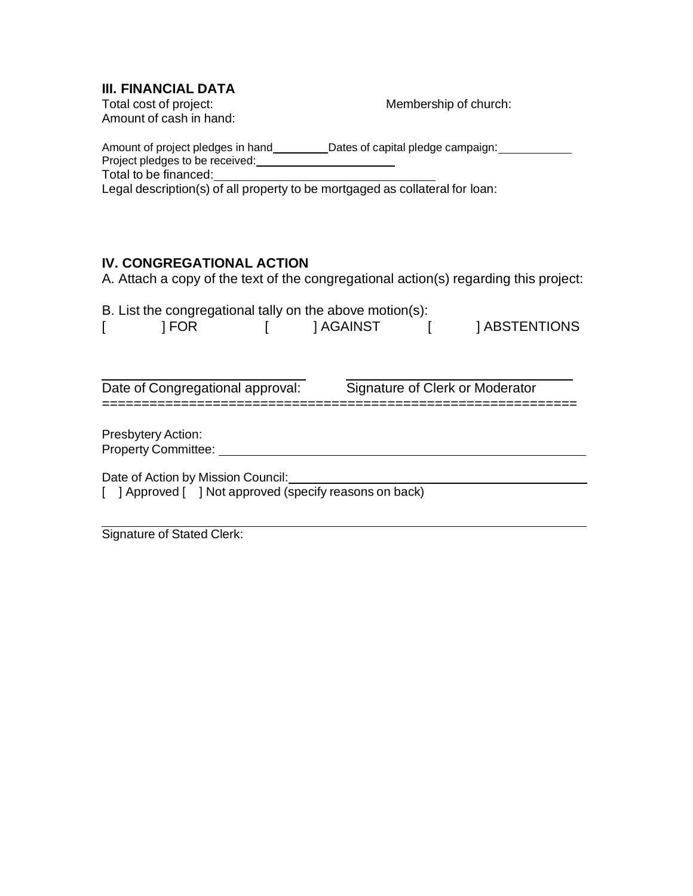# **III. FINANCIAL DATA**<br>Total cost of project:

Amount of cash in hand:

Membership of church:

| Amount of project pledges in hand<br>Project pledges to be received: | _Dates of capital pledge campaign: |
|----------------------------------------------------------------------|------------------------------------|
| Total to be financed:                                                |                                    |
| .                                                                    |                                    |

Legal description(s) of all property to be mortgaged as collateral for loan:

## **IV. CONGREGATIONAL ACTION**

A. Attach a copy of the text of the congregational action(s) regarding this project:

| B. List the congregational tally on the above motion(s):<br>1 FOR |  | 1 AGAINST |  | 1 ABSTENTIONS                   |  |  |  |
|-------------------------------------------------------------------|--|-----------|--|---------------------------------|--|--|--|
|                                                                   |  |           |  |                                 |  |  |  |
|                                                                   |  |           |  |                                 |  |  |  |
| Date of Congregational approval:                                  |  |           |  | Signature of Clerk or Moderator |  |  |  |
|                                                                   |  |           |  |                                 |  |  |  |
| <b>Presbytery Action:</b>                                         |  |           |  |                                 |  |  |  |
| <b>Property Committee:</b>                                        |  |           |  |                                 |  |  |  |
| Date of Action by Mission Council:                                |  |           |  |                                 |  |  |  |
| [ ] Approved [ ] Not approved (specify reasons on back)           |  |           |  |                                 |  |  |  |
|                                                                   |  |           |  |                                 |  |  |  |

Signature of Stated Clerk: